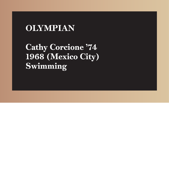Cathy Corcione '74 1968 (Mexico City) Swimming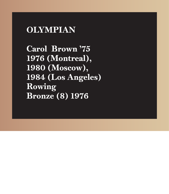Carol Brown '75 1976 (Montreal), 1980 (Moscow), 1984 (Los Angeles) Rowing Bronze (8) 1976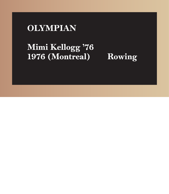í

# Mimi Kellogg '76 1976 (Montreal) Rowing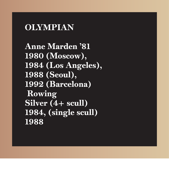Anne Marden '81 1980 (Moscow), 1984 (Los Angeles), 1988 (Seoul), 1992 (Barcelona) Rowing  $Si<sub>l</sub>ver (4+scal<sub>l</sub>)$ 1984, (single scull) 1988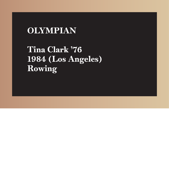Tina Clark '76 1984 (Los Angeles) Rowing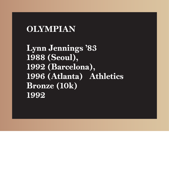Lynn Jennings '83 1988 (Seoul), 1992 (Barcelona), 1996 (Atlanta) Athletics Bronze (10k) 1992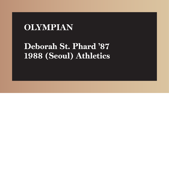# Deborah St. Phard '87 1988 (Seoul) Athletics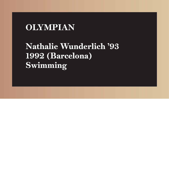# Nathalie Wunderlich '93 1992 (Barcelona) Swimming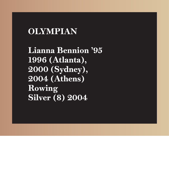Lianna Bennion '95 1996 (Atlanta), 2000 (Sydney), 2004 (Athens) Rowing Silver (8) 2004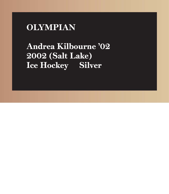

# Andrea Kilbourne '02 2002 (Salt Lake) Ice Hockey Silver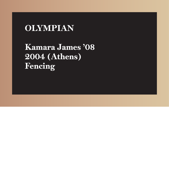Kamara James '08 2004 (Athens) Fencing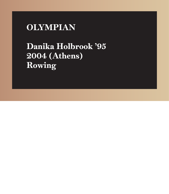# Danika Holbrook '95 2004 (Athens) Rowing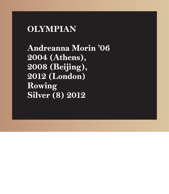Andreanna Morin '06 2004 (Athens), 2008 (Beijing), 2012 (London) Rowing Silver (8) 2012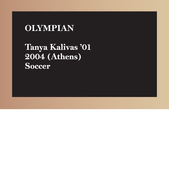Tanya Kalivas '01 2004 (Athens) **Soccer**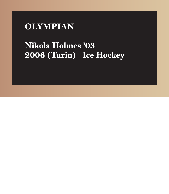

## Nikola Holmes '03 2006 (Turin) Ice Hockey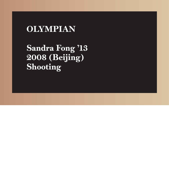Sandra Fong '13 2008 (Beijing) Shooting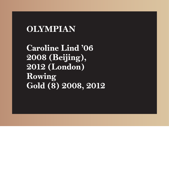Caroline Lind '06 2008 (Beijing), 2012 (London) Rowing Gold (8) 2008, 2012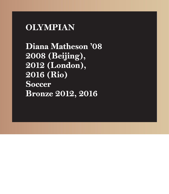Diana Matheson '08 2008 (Beijing), 2012 (London), 2016 (Rio) **Soccer** Bronze 2012, 2016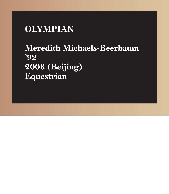# Meredith Michaels-Beerbaum '92 2008 (Beijing) Equestrian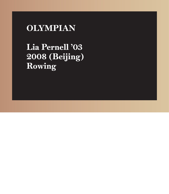Lia Pernell '03 2008 (Beijing) Rowing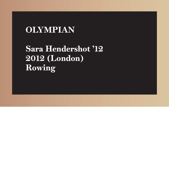# Sara Hendershot '12 2012 (London) Rowing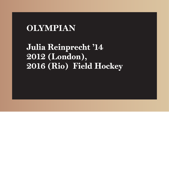# Julia Reinprecht '14 2012 (London), 2016 (Rio) Field Hockey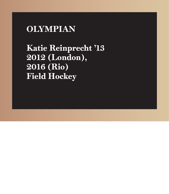Katie Reinprecht '13 2012 (London), 2016 (Rio) **Field Hockey**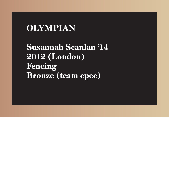Susannah Scanlan '14 2012 (London) Fencing Bronze (team epee)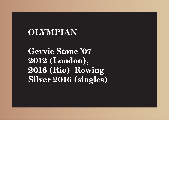Gevvie Stone '07 2012 (London), 2016 (Rio) Rowing Silver 2016 (singles)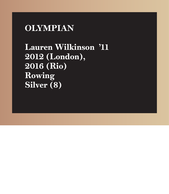Lauren Wilkinson '11 2012 (London), 2016 (Rio) Rowing Silver (8)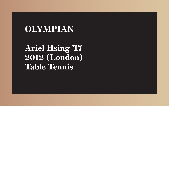

Ariel Hsing '17 2012 (London) Table Tennis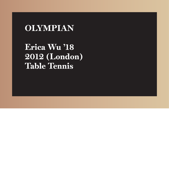Erica Wu '18 2012 (London) Table Tennis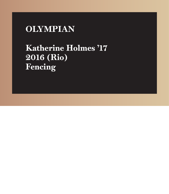# Katherine Holmes '17 2016 (Rio) Fencing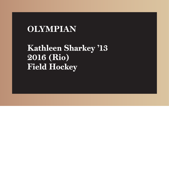Kathleen Sharkey '13 2016 (Rio) Field Hockey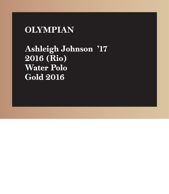Ashleigh Johnson '17 2016 (Rio) Water Polo Gold 2016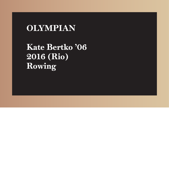Kate Bertko '06 2016 (Rio) Rowing